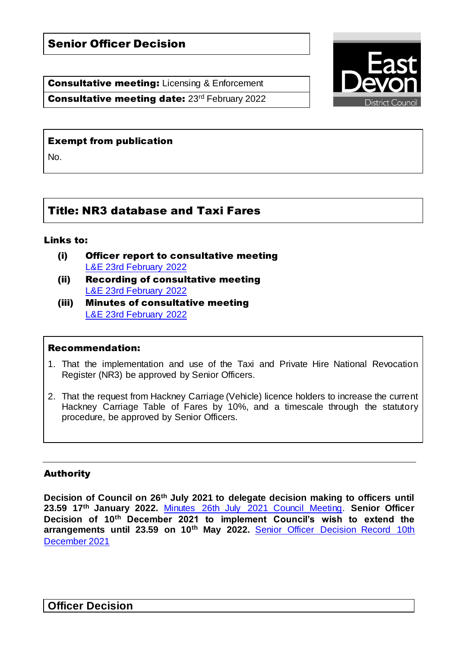Consultative meeting: Licensing & Enforcement

Consultative meeting date: 23rd February 2022



## Exempt from publication

No.

# Title: NR3 database and Taxi Fares

## Links to:

- (i) Officer report to consultative meeting [L&E 23rd February 2022](https://democracy.eastdevon.gov.uk/ieListDocuments.aspx?CId=162&MId=1754&Ver=4)
- (ii) Recording of consultative meeting [L&E 23rd February 2022](https://democracy.eastdevon.gov.uk/ieListDocuments.aspx?CId=162&MId=1754&Ver=4)
- (iii) Minutes of consultative meeting [L&E 23rd February 2022](https://democracy.eastdevon.gov.uk/ieListDocuments.aspx?CId=162&MId=1754&Ver=4)

## Recommendation:

- 1. That the implementation and use of the Taxi and Private Hire National Revocation Register (NR3) be approved by Senior Officers.
- 2. That the request from Hackney Carriage (Vehicle) licence holders to increase the current Hackney Carriage Table of Fares by 10%, and a timescale through the statutory procedure, be approved by Senior Officers.

# Authority

**Decision of Council on 26th July 2021 to delegate decision making to officers until 23.59 17th January 2022.** [Minutes 26th July 2021 Council Meeting.](https://democracy.eastdevon.gov.uk/ieListDocuments.aspx?CId=150&MId=1804&Ver=4) **Senior Officer Decision of 10th December 2021 to implement Council's wish to extend the arrangements until 23.59 on 10th May 2022.** [Senior Officer Decision Record 10th](https://democracy.eastdevon.gov.uk/ieListDocuments.aspx?CId=150&MId=1734&Ver=4)  [December 2021](https://democracy.eastdevon.gov.uk/ieListDocuments.aspx?CId=150&MId=1734&Ver=4)